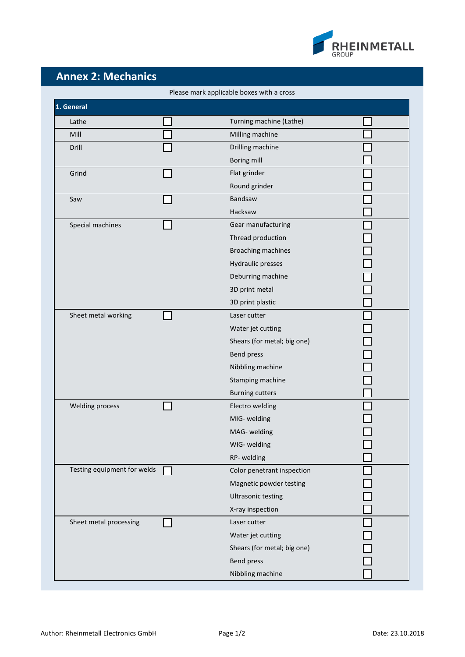

## **Annex 2: Mechanics**

| Please mark applicable boxes with a cross |  |                             |  |  |  |
|-------------------------------------------|--|-----------------------------|--|--|--|
| 1. General                                |  |                             |  |  |  |
| Lathe                                     |  | Turning machine (Lathe)     |  |  |  |
| Mill                                      |  | Milling machine             |  |  |  |
| Drill                                     |  | Drilling machine            |  |  |  |
|                                           |  | Boring mill                 |  |  |  |
| Grind                                     |  | Flat grinder                |  |  |  |
|                                           |  | Round grinder               |  |  |  |
| Saw                                       |  | <b>Bandsaw</b>              |  |  |  |
|                                           |  | Hacksaw                     |  |  |  |
| Special machines                          |  | Gear manufacturing          |  |  |  |
|                                           |  | Thread production           |  |  |  |
|                                           |  | Broaching machines          |  |  |  |
|                                           |  | Hydraulic presses           |  |  |  |
|                                           |  | Deburring machine           |  |  |  |
|                                           |  | 3D print metal              |  |  |  |
|                                           |  | 3D print plastic            |  |  |  |
| Sheet metal working                       |  | Laser cutter                |  |  |  |
|                                           |  | Water jet cutting           |  |  |  |
|                                           |  | Shears (for metal; big one) |  |  |  |
|                                           |  | Bend press                  |  |  |  |
|                                           |  | Nibbling machine            |  |  |  |
|                                           |  | Stamping machine            |  |  |  |
|                                           |  | <b>Burning cutters</b>      |  |  |  |
| <b>Welding process</b>                    |  | Electro welding             |  |  |  |
|                                           |  | MIG- welding                |  |  |  |
|                                           |  | MAG- welding                |  |  |  |
|                                           |  | WIG- welding                |  |  |  |
|                                           |  | RP-welding                  |  |  |  |
| Testing equipment for welds               |  | Color penetrant inspection  |  |  |  |
|                                           |  | Magnetic powder testing     |  |  |  |
|                                           |  | <b>Ultrasonic testing</b>   |  |  |  |
|                                           |  | X-ray inspection            |  |  |  |
| Sheet metal processing                    |  | Laser cutter                |  |  |  |
|                                           |  | Water jet cutting           |  |  |  |
|                                           |  | Shears (for metal; big one) |  |  |  |
|                                           |  | Bend press                  |  |  |  |
|                                           |  | Nibbling machine            |  |  |  |
|                                           |  |                             |  |  |  |